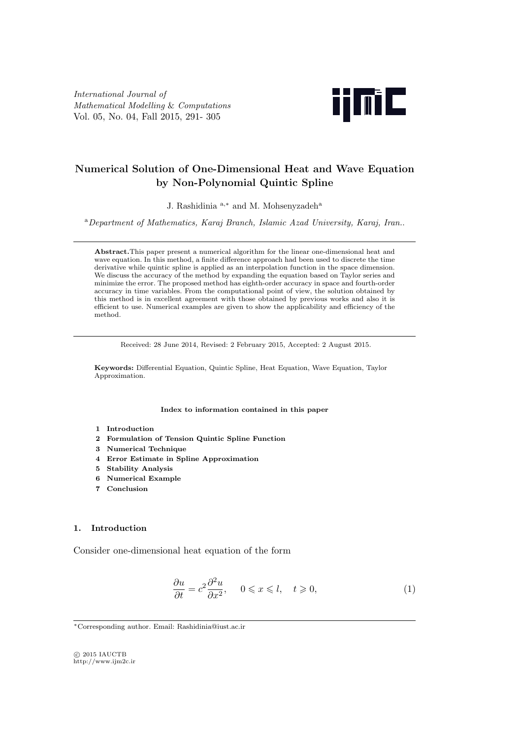*International Journal of Mathematical Modelling* & *Computations* Vol. 05, No. 04, Fall 2015, 291- 305



# **Numerical Solution of One-Dimensional Heat and Wave Equation by Non-Polynomial Quintic Spline**

J. Rashidinia <sup>a</sup>*,<sup>∗</sup>* and M. Mohsenyzadeh<sup>a</sup>

<sup>a</sup>*Department of Mathematics, Karaj Branch, Islamic Azad University, Karaj, Iran.*.

**Abstract.**This paper present a numerical algorithm for the linear one-dimensional heat and wave equation. In this method, a finite difference approach had been used to discrete the time derivative while quintic spline is applied as an interpolation function in the space dimension. We discuss the accuracy of the method by expanding the equation based on Taylor series and minimize the error. The proposed method has eighth-order accuracy in space and fourth-order accuracy in time variables. From the computational point of view, the solution obtained by this method is in excellent agreement with those obtained by previous works and also it is efficient to use. Numerical examples are given to show the applicability and efficiency of the method.

Received: 28 June 2014, Revised: 2 February 2015, Accepted: 2 August 2015.

**Keywords:** Differential Equation, Quintic Spline, Heat Equation, Wave Equation, Taylor Approximation.

**Index to information contained in this paper**

- **1 Introduction**
- **2 Formulation of Tension Quintic Spline Function**
- **3 Numerical Technique**
- **4 Error Estimate in Spline Approximation**
- **5 Stability Analysis**
- **6 Numerical Example**
- **7 Conclusion**

## **1. Introduction**

Consider one-dimensional heat equation of the form

$$
\frac{\partial u}{\partial t} = c^2 \frac{\partial^2 u}{\partial x^2}, \quad 0 \leqslant x \leqslant l, \quad t \geqslant 0,
$$
\n<sup>(1)</sup>

*⃝*c 2015 IAUCTB http://www.ijm2c.ir

*<sup>∗</sup>*Corresponding author. Email: Rashidinia@iust.ac.ir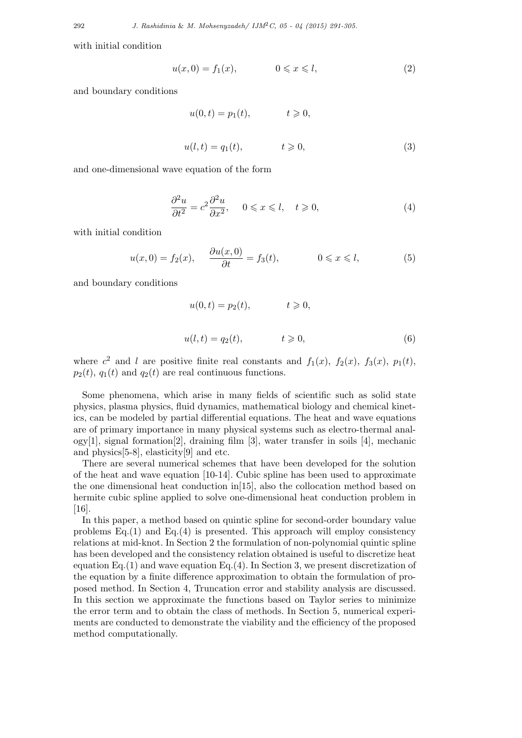with initial condition

$$
u(x,0) = f_1(x), \qquad 0 \leq x \leq l, \tag{2}
$$

and boundary conditions

$$
u(0, t) = p_1(t), \t t \ge 0,
$$
  

$$
u(l, t) = q_1(t), \t t \ge 0,
$$
\t(3)

and one-dimensional wave equation of the form

$$
\frac{\partial^2 u}{\partial t^2} = c^2 \frac{\partial^2 u}{\partial x^2}, \quad 0 \leqslant x \leqslant l, \quad t \geqslant 0,
$$
\n<sup>(4)</sup>

with initial condition

$$
u(x,0) = f_2(x), \quad \frac{\partial u(x,0)}{\partial t} = f_3(t), \quad 0 \leq x \leq l,
$$
 (5)

and boundary conditions

$$
u(0,t) = p_2(t), \t t \geqslant 0,
$$
  

$$
u(l,t) = q_2(t), \t t \geqslant 0,
$$
 (6)

where  $c^2$  and *l* are positive finite real constants and  $f_1(x)$ ,  $f_2(x)$ ,  $f_3(x)$ ,  $p_1(t)$ ,  $p_2(t)$ ,  $q_1(t)$  and  $q_2(t)$  are real continuous functions.

Some phenomena, which arise in many fields of scientific such as solid state physics, plasma physics, fluid dynamics, mathematical biology and chemical kinetics, can be modeled by partial differential equations. The heat and wave equations are of primary importance in many physical systems such as electro-thermal analogy[1], signal formation[2], draining film [3], water transfer in soils [4], mechanic and physics[5-8], elasticity[9] and etc.

There are several numerical schemes that have been developed for the solution of the heat and wave equation [10-14]. Cubic spline has been used to approximate the one dimensional heat conduction in[15], also the collocation method based on hermite cubic spline applied to solve one-dimensional heat conduction problem in [16].

In this paper, a method based on quintic spline for second-order boundary value problems Eq.(1) and Eq.(4) is presented. This approach will employ consistency relations at mid-knot. In Section 2 the formulation of non-polynomial quintic spline has been developed and the consistency relation obtained is useful to discretize heat equation Eq.(1) and wave equation Eq.(4). In Section 3, we present discretization of the equation by a finite difference approximation to obtain the formulation of proposed method. In Section 4, Truncation error and stability analysis are discussed. In this section we approximate the functions based on Taylor series to minimize the error term and to obtain the class of methods. In Section 5, numerical experiments are conducted to demonstrate the viability and the efficiency of the proposed method computationally.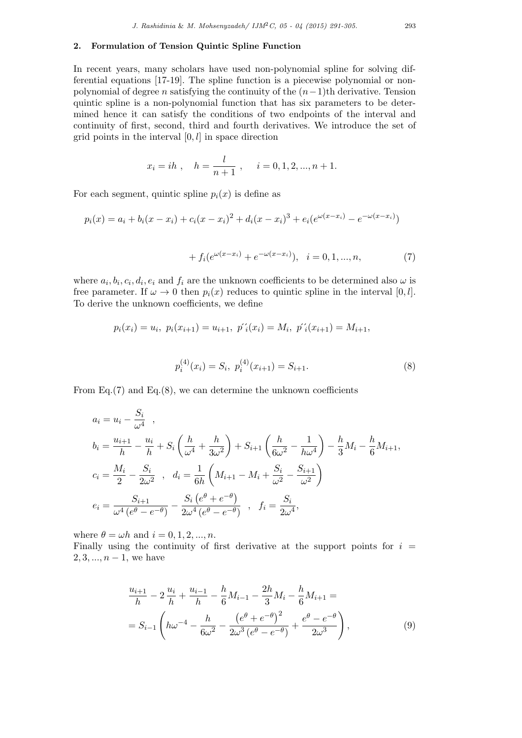## **2. Formulation of Tension Quintic Spline Function**

In recent years, many scholars have used non-polynomial spline for solving differential equations [17-19]. The spline function is a piecewise polynomial or nonpolynomial of degree *n* satisfying the continuity of the (*n−*1)th derivative. Tension quintic spline is a non-polynomial function that has six parameters to be determined hence it can satisfy the conditions of two endpoints of the interval and continuity of first, second, third and fourth derivatives. We introduce the set of grid points in the interval [0*, l*] in space direction

$$
x_i = ih
$$
,  $h = \frac{l}{n+1}$ ,  $i = 0, 1, 2, ..., n+1$ .

For each segment, quintic spline  $p_i(x)$  is define as

$$
p_i(x) = a_i + b_i(x - x_i) + c_i(x - x_i)^2 + d_i(x - x_i)^3 + e_i(e^{\omega(x - x_i)} - e^{-\omega(x - x_i)})
$$

+ 
$$
f_i(e^{\omega(x-x_i)} + e^{-\omega(x-x_i)}), \quad i = 0, 1, ..., n,
$$
 (7)

where  $a_i, b_i, c_i, d_i, e_i$  and  $f_i$  are the unknown coefficients to be determined also  $\omega$  is free parameter. If  $\omega \to 0$  then  $p_i(x)$  reduces to quintic spline in the interval [0, *l*]. To derive the unknown coefficients, we define

$$
p_i(x_i) = u_i, \ p_i(x_{i+1}) = u_{i+1}, \ p'_i(x_i) = M_i, \ p'_i(x_{i+1}) = M_{i+1},
$$

$$
p_i^{(4)}(x_i) = S_i, \ p_i^{(4)}(x_{i+1}) = S_{i+1}.
$$
 (8)

From Eq. $(7)$  and Eq. $(8)$ , we can determine the unknown coefficients

$$
a_{i} = u_{i} - \frac{S_{i}}{\omega^{4}},
$$
  
\n
$$
b_{i} = \frac{u_{i+1}}{h} - \frac{u_{i}}{h} + S_{i} \left(\frac{h}{\omega^{4}} + \frac{h}{3\omega^{2}}\right) + S_{i+1} \left(\frac{h}{6\omega^{2}} - \frac{1}{h\omega^{4}}\right) - \frac{h}{3}M_{i} - \frac{h}{6}M_{i+1},
$$
  
\n
$$
c_{i} = \frac{M_{i}}{2} - \frac{S_{i}}{2\omega^{2}}, \quad d_{i} = \frac{1}{6h} \left(M_{i+1} - M_{i} + \frac{S_{i}}{\omega^{2}} - \frac{S_{i+1}}{\omega^{2}}\right)
$$
  
\n
$$
e_{i} = \frac{S_{i+1}}{\omega^{4} (e^{\theta} - e^{-\theta})} - \frac{S_{i} (e^{\theta} + e^{-\theta})}{2\omega^{4} (e^{\theta} - e^{-\theta})}, \quad f_{i} = \frac{S_{i}}{2\omega^{4}},
$$

where  $\theta = \omega h$  and  $i = 0, 1, 2, ..., n$ .

Finally using the continuity of first derivative at the support points for  $i =$ 2*,* 3*, ..., n −* 1*,* we have

$$
\frac{u_{i+1}}{h} - 2\frac{u_i}{h} + \frac{u_{i-1}}{h} - \frac{h}{6}M_{i-1} - \frac{2h}{3}M_i - \frac{h}{6}M_{i+1} =
$$
  
=  $S_{i-1} \left( h\omega^{-4} - \frac{h}{6\omega^2} - \frac{(e^{\theta} + e^{-\theta})^2}{2\omega^3 (e^{\theta} - e^{-\theta})} + \frac{e^{\theta} - e^{-\theta}}{2\omega^3} \right),$  (9)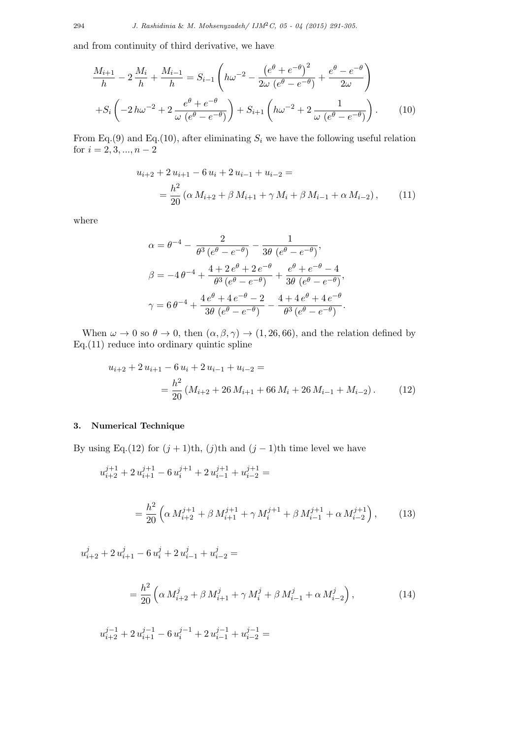and from continuity of third derivative, we have

$$
\frac{M_{i+1}}{h} - 2\frac{M_i}{h} + \frac{M_{i-1}}{h} = S_{i-1} \left( h\omega^{-2} - \frac{\left( e^{\theta} + e^{-\theta} \right)^2}{2\omega \left( e^{\theta} - e^{-\theta} \right)} + \frac{e^{\theta} - e^{-\theta}}{2\omega} \right) + S_i \left( -2h\omega^{-2} + 2\frac{e^{\theta} + e^{-\theta}}{\omega \left( e^{\theta} - e^{-\theta} \right)} \right) + S_{i+1} \left( h\omega^{-2} + 2\frac{1}{\omega \left( e^{\theta} - e^{-\theta} \right)} \right).
$$
(10)

From Eq.(9) and Eq.(10), after eliminating  $S_i$  we have the following useful relation for *i* = 2*,* 3*, ..., n −* 2

$$
u_{i+2} + 2 u_{i+1} - 6 u_i + 2 u_{i-1} + u_{i-2} =
$$
  
= 
$$
\frac{h^2}{20} (\alpha M_{i+2} + \beta M_{i+1} + \gamma M_i + \beta M_{i-1} + \alpha M_{i-2}),
$$
 (11)

where

$$
\alpha = \theta^{-4} - \frac{2}{\theta^3 (e^{\theta} - e^{-\theta})} - \frac{1}{3\theta (e^{\theta} - e^{-\theta})},
$$
  

$$
\beta = -4\theta^{-4} + \frac{4 + 2e^{\theta} + 2e^{-\theta}}{\theta^3 (e^{\theta} - e^{-\theta})} + \frac{e^{\theta} + e^{-\theta} - 4}{3\theta (e^{\theta} - e^{-\theta})},
$$
  

$$
\gamma = 6\theta^{-4} + \frac{4e^{\theta} + 4e^{-\theta} - 2}{3\theta (e^{\theta} - e^{-\theta})} - \frac{4 + 4e^{\theta} + 4e^{-\theta}}{\theta^3 (e^{\theta} - e^{-\theta})}.
$$

When  $\omega \to 0$  so  $\theta \to 0$ , then  $(\alpha, \beta, \gamma) \to (1, 26, 66)$ , and the relation defined by Eq.(11) reduce into ordinary quintic spline

$$
u_{i+2} + 2 u_{i+1} - 6 u_i + 2 u_{i-1} + u_{i-2} =
$$
  
= 
$$
\frac{h^2}{20} (M_{i+2} + 26 M_{i+1} + 66 M_i + 26 M_{i-1} + M_{i-2}).
$$
 (12)

## **3. Numerical Technique**

By using Eq.(12) for  $(j + 1)$ th,  $(j)$ th and  $(j - 1)$ th time level we have

$$
u_{i+2}^{j+1} + 2u_{i+1}^{j+1} - 6u_i^{j+1} + 2u_{i-1}^{j+1} + u_{i-2}^{j+1} =
$$
  
= 
$$
\frac{h^2}{20} \left( \alpha M_{i+2}^{j+1} + \beta M_{i+1}^{j+1} + \gamma M_i^{j+1} + \beta M_{i-1}^{j+1} + \alpha M_{i-2}^{j+1} \right),
$$
 (13)

 $u_{i+2}^j + 2 u_{i+1}^j - 6 u_i^j + 2 u_{i-1}^j + u_{i-2}^j =$ 

$$
= \frac{h^2}{20} \left( \alpha \, M_{i+2}^j + \beta \, M_{i+1}^j + \gamma \, M_i^j + \beta \, M_{i-1}^j + \alpha \, M_{i-2}^j \right),\tag{14}
$$

$$
u_{i+2}^{j-1}+2\,u_{i+1}^{j-1}-6\,u_i^{j-1}+2\,u_{i-1}^{j-1}+u_{i-2}^{j-1}=
$$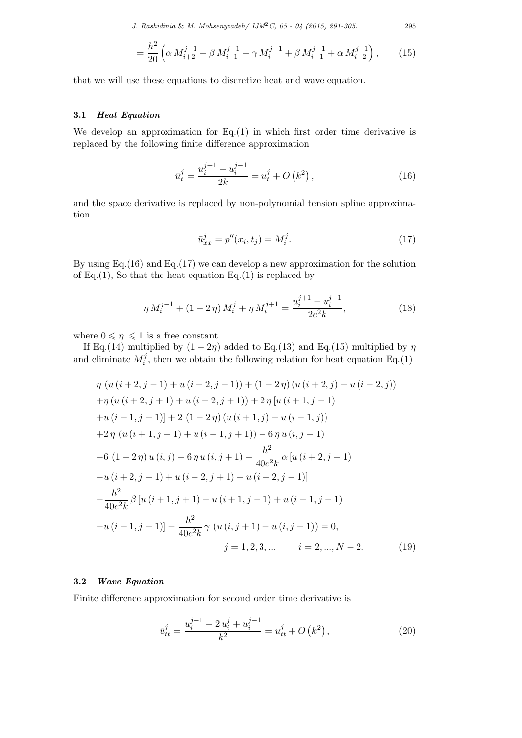*J. Rashidinia* & *M. Mohsenyzadeh/ IJM*2*C, 05 - 04 (2015) 291-305.* 295

$$
= \frac{h^2}{20} \left( \alpha \, M_{i+2}^{j-1} + \beta \, M_{i+1}^{j-1} + \gamma \, M_i^{j-1} + \beta \, M_{i-1}^{j-1} + \alpha \, M_{i-2}^{j-1} \right),\tag{15}
$$

that we will use these equations to discretize heat and wave equation.

## **3.1** *Heat Equation*

We develop an approximation for  $Eq.(1)$  in which first order time derivative is replaced by the following finite difference approximation

$$
\bar{u}_t^j = \frac{u_i^{j+1} - u_i^{j-1}}{2k} = u_t^j + O\left(k^2\right),\tag{16}
$$

and the space derivative is replaced by non-polynomial tension spline approximation

$$
\bar{u}_{xx}^j = p''(x_i, t_j) = M_i^j.
$$
\n(17)

By using Eq.  $(16)$  and Eq.  $(17)$  we can develop a new approximation for the solution of Eq.(1), So that the heat equation Eq.(1) is replaced by

$$
\eta M_i^{j-1} + (1 - 2\eta) M_i^j + \eta M_i^{j+1} = \frac{u_i^{j+1} - u_i^{j-1}}{2c^2 k},
$$
\n(18)

where  $0 \leq \eta \leq 1$  is a free constant.

If Eq.(14) multiplied by  $(1 - 2\eta)$  added to Eq.(13) and Eq.(15) multiplied by  $\eta$ and eliminate  $M_i^j$  $\hat{H}_i^j$ , then we obtain the following relation for heat equation Eq.(1)

$$
\eta (u(i+2,j-1)+u(i-2,j-1)) + (1-2\eta) (u(i+2,j)+u(i-2,j))
$$
  
+
$$
\eta (u(i+2,j+1)+u(i-2,j+1)) + 2\eta [u(i+1,j-1)
$$
  
+
$$
u(i-1,j-1)] + 2(1-2\eta) (u(i+1,j)+u(i-1,j))
$$
  
+
$$
2\eta (u(i+1,j+1)+u(i-1,j+1)) - 6\eta u(i,j-1)
$$
  
-
$$
6(1-2\eta) u(i,j) - 6\eta u(i,j+1) - \frac{h^2}{40c^2k} \alpha [u(i+2,j+1)
$$
  
-
$$
u(i+2,j-1)+u(i-2,j+1)-u(i-2,j-1)]
$$
  

$$
-\frac{h^2}{40c^2k} \beta [u(i+1,j+1)-u(i+1,j-1)+u(i-1,j+1)
$$
  
-
$$
u(i-1,j-1)] - \frac{h^2}{40c^2k} \gamma (u(i,j+1)-u(i,j-1)) = 0,
$$
  

$$
j = 1, 2, 3, ... \qquad i = 2, ..., N-2.
$$
 (19)

## **3.2** *Wave Equation*

Finite difference approximation for second order time derivative is

$$
\bar{u}_{tt}^j = \frac{u_i^{j+1} - 2u_i^j + u_i^{j-1}}{k^2} = u_{tt}^j + O\left(k^2\right),\tag{20}
$$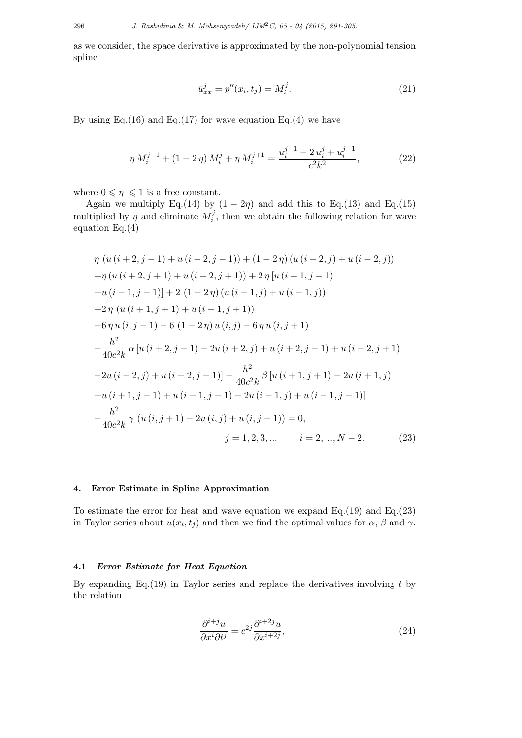as we consider, the space derivative is approximated by the non-polynomial tension spline

$$
\bar{u}_{xx}^j = p''(x_i, t_j) = M_i^j.
$$
\n(21)

By using Eq.(16) and Eq.(17) for wave equation Eq.(4) we have

$$
\eta M_i^{j-1} + (1 - 2\eta) M_i^j + \eta M_i^{j+1} = \frac{u_i^{j+1} - 2u_i^j + u_i^{j-1}}{c^2 k^2},
$$
\n(22)

where  $0 \leq \eta \leq 1$  is a free constant.

Again we multiply Eq.(14) by  $(1 - 2\eta)$  and add this to Eq.(13) and Eq.(15) multiplied by  $\eta$  and eliminate  $M_i^j$  $i$ <sup>,</sup> then we obtain the following relation for wave equation Eq.(4)

$$
\eta (u(i+2,j-1)+u(i-2,j-1)) + (1-2\eta) (u(i+2,j)+u(i-2,j))
$$
  
+
$$
\eta (u(i+2,j+1)+u(i-2,j+1)) + 2\eta [u(i+1,j-1)
$$
  
+
$$
u(i-1,j-1)] + 2(1-2\eta) (u(i+1,j)+u(i-1,j))
$$
  
+
$$
2\eta (u(i+1,j+1)+u(i-1,j+1))
$$
  
-
$$
6\eta u(i,j-1) - 6(1-2\eta) u(i,j) - 6\eta u(i,j+1)
$$
  
-
$$
\frac{h^2}{40c^2k} \alpha [u(i+2,j+1) - 2u(i+2,j) + u(i+2,j-1) + u(i-2,j+1)
$$
  
-
$$
2u(i-2,j) + u(i-2,j-1)] - \frac{h^2}{40c^2k} \beta [u(i+1,j+1) - 2u(i+1,j)
$$
  
+
$$
u(i+1,j-1) + u(i-1,j+1) - 2u(i-1,j) + u(i-1,j-1)]
$$
  
-
$$
\frac{h^2}{40c^2k} \gamma (u(i,j+1) - 2u(i,j) + u(i,j-1)) = 0,
$$
  

$$
j = 1, 2, 3, ...
$$
  $i = 2, ..., N - 2.$  (23)

## **4. Error Estimate in Spline Approximation**

To estimate the error for heat and wave equation we expand Eq.(19) and Eq.(23) in Taylor series about  $u(x_i, t_j)$  and then we find the optimal values for  $\alpha$ ,  $\beta$  and  $\gamma$ .

## **4.1** *Error Estimate for Heat Equation*

By expanding Eq.(19) in Taylor series and replace the derivatives involving *t* by the relation

$$
\frac{\partial^{i+j}u}{\partial x^i \partial t^j} = c^{2j} \frac{\partial^{i+2j}u}{\partial x^{i+2j}},\tag{24}
$$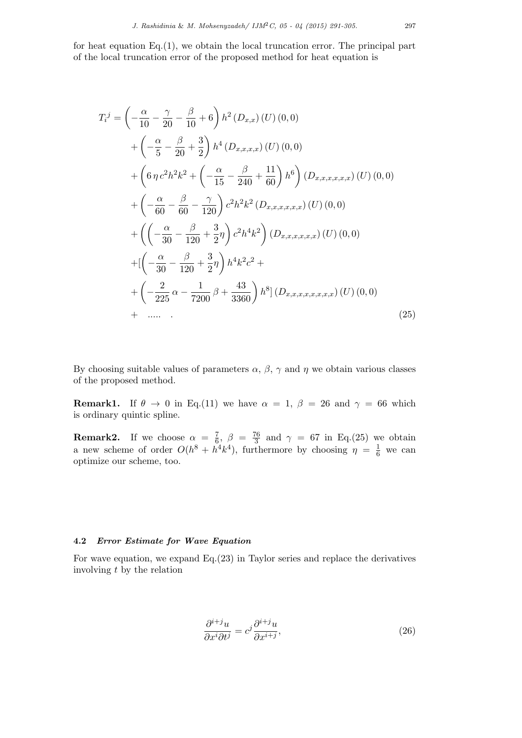for heat equation  $Eq.(1)$ , we obtain the local truncation error. The principal part of the local truncation error of the proposed method for heat equation is

$$
T_i^j = \left(-\frac{\alpha}{10} - \frac{\gamma}{20} - \frac{\beta}{10} + 6\right) h^2(D_{x,x})(U)(0,0)
$$
  
+  $\left(-\frac{\alpha}{5} - \frac{\beta}{20} + \frac{3}{2}\right) h^4(D_{x,x,x,x})(U)(0,0)$   
+  $\left(6 \eta c^2 h^2 k^2 + \left(-\frac{\alpha}{15} - \frac{\beta}{240} + \frac{11}{60}\right) h^6\right) (D_{x,x,x,x,x}(U)(0,0))$   
+  $\left(-\frac{\alpha}{60} - \frac{\beta}{60} - \frac{\gamma}{120}\right) c^2 h^2 k^2(D_{x,x,x,x,x}(U)(0,0))$   
+  $\left(\left(-\frac{\alpha}{30} - \frac{\beta}{120} + \frac{3}{2}\eta\right) c^2 h^4 k^2\right) (D_{x,x,x,x,x}(U)(0,0))$   
+  $\left[\left(-\frac{\alpha}{30} - \frac{\beta}{120} + \frac{3}{2}\eta\right) h^4 k^2 c^2 + \left(-\frac{2}{225} \alpha - \frac{1}{7200} \beta + \frac{43}{3360}\right) h^8\right] (D_{x,x,x,x,x,x,x}(U)(0,0))$   
+  $\dots$  (25)

By choosing suitable values of parameters  $\alpha$ ,  $\beta$ ,  $\gamma$  and  $\eta$  we obtain various classes of the proposed method.

**Remark1.** If  $\theta \to 0$  in Eq.(11) we have  $\alpha = 1$ ,  $\beta = 26$  and  $\gamma = 66$  which is ordinary quintic spline.

**Remark2.** If we choose  $\alpha = \frac{7}{6}$  $\frac{7}{6}, \ \beta = \frac{76}{3}$  $\frac{\pi}{3}$  and  $\gamma = 67$  in Eq.(25) we obtain a new scheme of order  $O(h^8 + h^4 k^4)$ , furthermore by choosing  $\eta = \frac{1}{6}$  we can optimize our scheme, too.

## **4.2** *Error Estimate for Wave Equation*

For wave equation, we expand Eq.(23) in Taylor series and replace the derivatives involving *t* by the relation

$$
\frac{\partial^{i+j}u}{\partial x^i \partial t^j} = c^j \frac{\partial^{i+j}u}{\partial x^{i+j}},\tag{26}
$$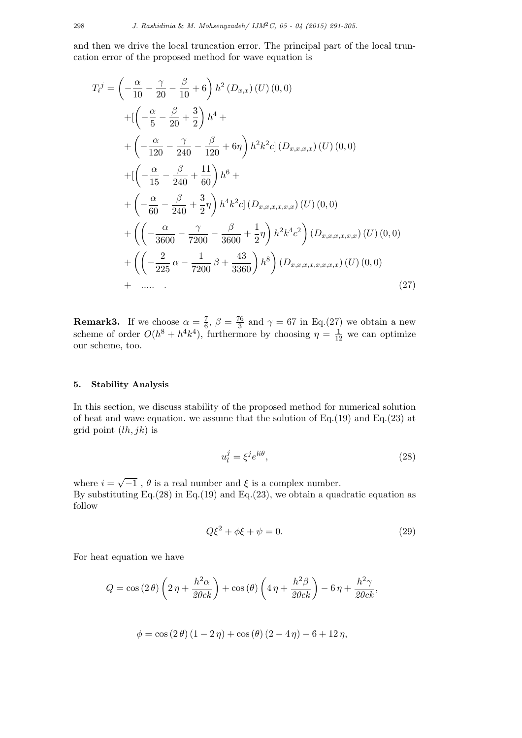and then we drive the local truncation error. The principal part of the local truncation error of the proposed method for wave equation is

$$
T_i^j = \left(-\frac{\alpha}{10} - \frac{\gamma}{20} - \frac{\beta}{10} + 6\right) h^2 (D_{x,x})(U)(0,0)
$$
  
+ 
$$
\left[\left(-\frac{\alpha}{5} - \frac{\beta}{20} + \frac{3}{2}\right) h^4 + \right.
$$
  
+ 
$$
\left(-\frac{\alpha}{120} - \frac{\gamma}{240} - \frac{\beta}{120} + 6\eta\right) h^2 k^2 c \right] (D_{x,x,x,x})(U)(0,0)
$$
  
+ 
$$
\left[\left(-\frac{\alpha}{15} - \frac{\beta}{240} + \frac{11}{60}\right) h^6 + \right.
$$
  
+ 
$$
\left(-\frac{\alpha}{60} - \frac{\beta}{240} + \frac{3}{2}\eta\right) h^4 k^2 c \right] (D_{x,x,x,x,x}(U)(0,0)
$$
  
+ 
$$
\left(\left(-\frac{\alpha}{3600} - \frac{\gamma}{7200} - \frac{\beta}{3600} + \frac{1}{2}\eta\right) h^2 k^4 c^2\right) (D_{x,x,x,x,x}(U)(0,0)
$$
  
+ 
$$
\left(\left(-\frac{2}{225} \alpha - \frac{1}{7200} \beta + \frac{43}{3360}\right) h^8\right) (D_{x,x,x,x,x,x,x}(U)(0,0)
$$
  
+ 
$$
\dots
$$
 (27)

**Remark3.** If we choose  $\alpha = \frac{7}{6}$  $\frac{7}{6}$ ,  $\beta = \frac{76}{3}$  $\frac{76}{3}$  and  $\gamma = 67$  in Eq.(27) we obtain a new scheme of order  $O(h^8 + h^4k^4)$ , furthermore by choosing  $\eta = \frac{1}{12}$  we can optimize our scheme, too.

## **5. Stability Analysis**

In this section, we discuss stability of the proposed method for numerical solution of heat and wave equation. we assume that the solution of Eq.(19) and Eq.(23) at grid point (*lh, jk*) is

$$
u_l^j = \xi^j e^{li\theta},\tag{28}
$$

where  $i = \sqrt{-1}$ ,  $\theta$  is a real number and  $\xi$  is a complex number. By substituting Eq. $(28)$  in Eq. $(19)$  and Eq. $(23)$ , we obtain a quadratic equation as follow

$$
Q\xi^2 + \phi\xi + \psi = 0.
$$
\n(29)

For heat equation we have

$$
Q = \cos(2\theta) \left(2\eta + \frac{h^2 \alpha}{20ck}\right) + \cos(\theta) \left(4\eta + \frac{h^2 \beta}{20ck}\right) - 6\eta + \frac{h^2 \gamma}{20ck},
$$

$$
\phi = \cos(2\theta)(1 - 2\eta) + \cos(\theta)(2 - 4\eta) - 6 + 12\eta,
$$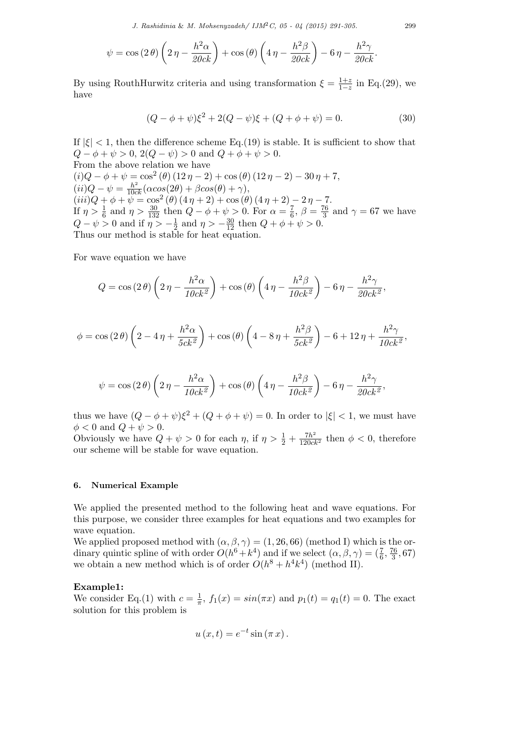*J. Rashidinia* & *M. Mohsenyzadeh/ IJM*2*C, 05 - 04 (2015) 291-305.* 299

$$
\psi = \cos(2\theta) \left(2\eta - \frac{h^2 \alpha}{20ck}\right) + \cos(\theta) \left(4\eta - \frac{h^2 \beta}{20ck}\right) - 6\eta - \frac{h^2 \gamma}{20ck}.
$$

By using RouthHurwitz criteria and using transformation  $\xi = \frac{1+z}{1-z}$ 1*−z* in Eq.(29), we have

$$
(Q - \phi + \psi)\xi^{2} + 2(Q - \psi)\xi + (Q + \phi + \psi) = 0.
$$
 (30)

If  $|\xi|$  < 1, then the difference scheme Eq.(19) is stable. It is sufficient to show that *Q* −  $\phi$  +  $\psi$  > 0, 2(*Q* −  $\psi$ ) > 0 and *Q* +  $\phi$  +  $\psi$  > 0. From the above relation we have  $(i)Q - \phi + \psi = \cos^2(\theta) (12 \eta - 2) + \cos(\theta) (12 \eta - 2) - 30 \eta + 7,$  $(ii)Q - \psi = \frac{h^2}{10ck}(\alpha cos(2\theta) + \beta cos(\theta) + \gamma),$  $(iii)Q + \phi + \psi = \cos^2(\theta) (4\eta + 2) + \cos(\theta) (4\eta + 2) - 2\eta - 7.$ If  $\eta > \frac{1}{6}$  and  $\eta > \frac{30}{132}$  then  $Q - \phi + \psi > 0$ . For  $\alpha = \frac{7}{6}$  $\frac{7}{6}$ ,  $\beta = \frac{76}{3}$  $\frac{6}{3}$  and  $\gamma = 67$  we have *Q −*  $\psi$  > 0 and if  $\eta$  >  $-\frac{1}{2}$  $\frac{1}{2}$  and  $\eta > -\frac{30}{12}$  then  $Q + \phi + \psi > 0$ . Thus our method is stable for heat equation.

For wave equation we have

$$
Q = \cos(2\theta) \left(2\eta - \frac{h^2 \alpha}{10ck^2}\right) + \cos(\theta) \left(4\eta - \frac{h^2 \beta}{10ck^2}\right) - 6\eta - \frac{h^2 \gamma}{20ck^2},
$$

$$
\phi = \cos(2\theta) \left(2 - 4\eta + \frac{h^2 \alpha}{5ck^2}\right) + \cos(\theta) \left(4 - 8\eta + \frac{h^2 \beta}{5ck^2}\right) - 6 + 12\eta + \frac{h^2 \gamma}{10ck^2},
$$

$$
\psi = \cos(2\theta) \left(2\eta - \frac{h^2 \alpha}{10ck^2}\right) + \cos(\theta) \left(4\eta - \frac{h^2 \beta}{10ck^2}\right) - 6\eta - \frac{h^2 \gamma}{20ck^2},
$$

thus we have  $(Q - \phi + \psi)\xi^2 + (Q + \phi + \psi) = 0$ . In order to  $|\xi| < 1$ , we must have  $\phi < 0$  and  $Q + \psi > 0$ .

Obviously we have  $Q + \psi > 0$  for each  $\eta$ , if  $\eta > \frac{1}{2} + \frac{7h^2}{120ck^2}$  then  $\phi < 0$ , therefore our scheme will be stable for wave equation.

## **6. Numerical Example**

We applied the presented method to the following heat and wave equations. For this purpose, we consider three examples for heat equations and two examples for wave equation.

We applied proposed method with  $(\alpha, \beta, \gamma) = (1, 26, 66)$  (method I) which is the ordinary quintic spline of with order  $O(h^6 + k^4)$  and if we select  $(\alpha, \beta, \gamma) = (\frac{7}{6}, \frac{76}{3})$  $\frac{(6}{3}, 67)$ we obtain a new method which is of order  $O(h^8 + h^4k^4)$  (method II).

#### **Example1:**

We consider Eq.(1) with  $c = \frac{1}{\pi}$  $\frac{1}{\pi}$ ,  $f_1(x) = \sin(\pi x)$  and  $p_1(t) = q_1(t) = 0$ . The exact solution for this problem is

$$
u(x,t) = e^{-t} \sin(\pi x).
$$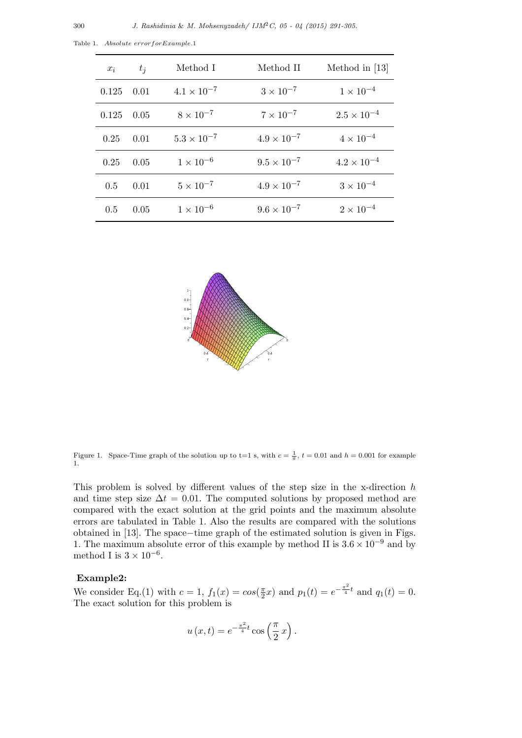| $x_i$        | $t_i$ | Method I             | Method II            | Method in $[13]$     |
|--------------|-------|----------------------|----------------------|----------------------|
| $0.125$ 0.01 |       | $4.1 \times 10^{-7}$ | $3 \times 10^{-7}$   | $1 \times 10^{-4}$   |
| 0.125        | 0.05  | $8 \times 10^{-7}$   | $7 \times 10^{-7}$   | $2.5 \times 10^{-4}$ |
| 0.25         | 0.01  | $5.3 \times 10^{-7}$ | $4.9 \times 10^{-7}$ | $4 \times 10^{-4}$   |
| 0.25         | 0.05  | $1 \times 10^{-6}$   | $9.5 \times 10^{-7}$ | $4.2 \times 10^{-4}$ |
| 0.5          | 0.01  | $5 \times 10^{-7}$   | $4.9 \times 10^{-7}$ | $3 \times 10^{-4}$   |
| 0.5          | 0.05  | $1 \times 10^{-6}$   | $9.6 \times 10^{-7}$ | $2 \times 10^{-4}$   |

Table 1. *Absolute errorforExample.*1



Figure 1. Space-Time graph of the solution up to t=1 s, with  $c = \frac{1}{\pi}$ ,  $t = 0.01$  and  $h = 0.001$  for example 1.

This problem is solved by different values of the step size in the x-direction *h* and time step size  $\Delta t = 0.01$ . The computed solutions by proposed method are compared with the exact solution at the grid points and the maximum absolute errors are tabulated in Table 1. Also the results are compared with the solutions obtained in [13]. The space*−*time graph of the estimated solution is given in Figs. 1. The maximum absolute error of this example by method II is 3*.*<sup>6</sup> *<sup>×</sup>* <sup>10</sup>*−*<sup>9</sup> and by method I is  $3 \times 10^{-6}$ .

### **Example2:**

We consider Eq.(1) with  $c = 1$ ,  $f_1(x) = \cos(\frac{\pi}{2})$  $\frac{\pi}{2}x$  and  $p_1(t) = e^{-\frac{\pi^2}{4}t}$  and  $q_1(t) = 0$ . The exact solution for this problem is

$$
u(x,t) = e^{-\frac{\pi^2}{4}t} \cos\left(\frac{\pi}{2}x\right).
$$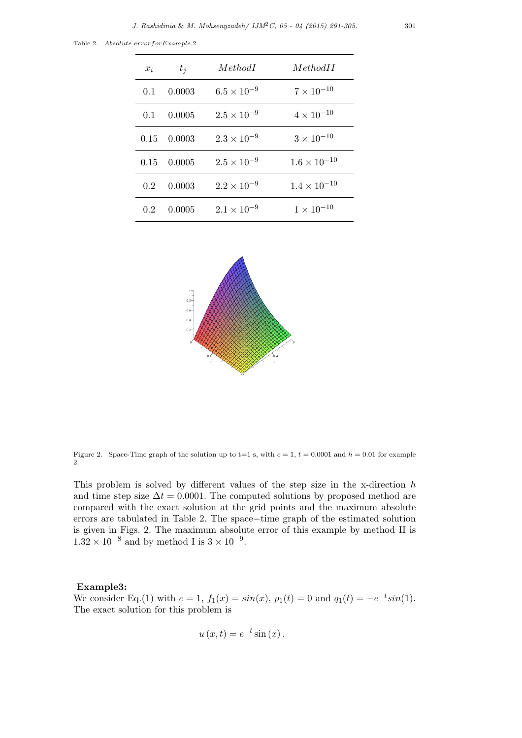Table 2. *Absolute errorforExample.*2

| $x_i$         | $t_i$               | MethodI              | MethodH               |
|---------------|---------------------|----------------------|-----------------------|
| 0.1           | 0.0003              | $6.5 \times 10^{-9}$ | $7 \times 10^{-10}$   |
|               | $0.1 \quad 0.0005$  | $2.5 \times 10^{-9}$ | $4 \times 10^{-10}$   |
|               | $0.15 \quad 0.0003$ | $2.3 \times 10^{-9}$ | $3 \times 10^{-10}$   |
|               | $0.15 \quad 0.0005$ | $2.5 \times 10^{-9}$ | $1.6 \times 10^{-10}$ |
| 0.2           | 0.0003              | $2.2 \times 10^{-9}$ | $1.4 \times 10^{-10}$ |
| $0.2^{\circ}$ | 0.0005              | $2.1 \times 10^{-9}$ | $1 \times 10^{-10}$   |



Figure 2. Space-Time graph of the solution up to  $t=1$  s, with  $c=1$ ,  $t=0.0001$  and  $h=0.01$  for example 2.

This problem is solved by different values of the step size in the x-direction *h* and time step size  $\Delta t = 0.0001$ . The computed solutions by proposed method are compared with the exact solution at the grid points and the maximum absolute errors are tabulated in Table 2. The space*−*time graph of the estimated solution is given in Figs. 2. The maximum absolute error of this example by method II is  $1.32 \times 10^{-8}$  and by method I is  $3 \times 10^{-9}$ .

## **Example3:**

We consider Eq.(1) with  $c = 1$ ,  $f_1(x) = \sin(x)$ ,  $p_1(t) = 0$  and  $q_1(t) = -e^{-t}\sin(1)$ . The exact solution for this problem is

$$
u(x,t) = e^{-t} \sin(x).
$$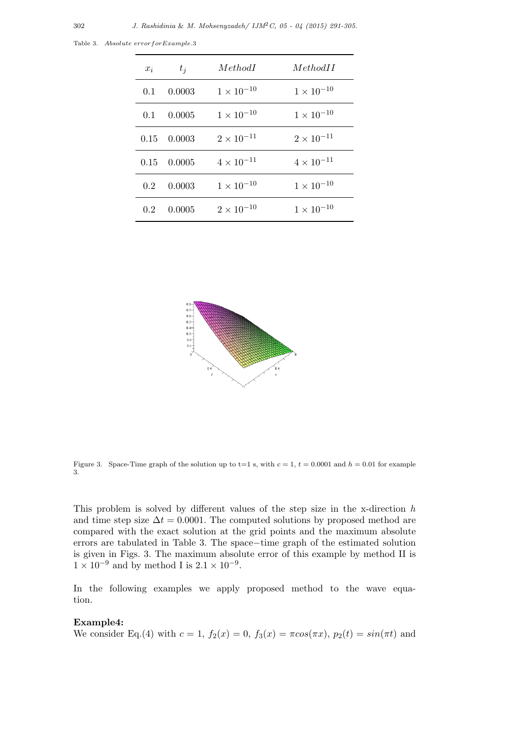| $x_i$ | $t_i$               | MethodI             | MethodH             |
|-------|---------------------|---------------------|---------------------|
|       | $0.1 \quad 0.0003$  | $1 \times 10^{-10}$ | $1 \times 10^{-10}$ |
|       | $0.1 \quad 0.0005$  | $1 \times 10^{-10}$ | $1 \times 10^{-10}$ |
|       | $0.15$ 0.0003       | $2 \times 10^{-11}$ | $2 \times 10^{-11}$ |
|       | $0.15 \quad 0.0005$ | $4 \times 10^{-11}$ | $4 \times 10^{-11}$ |
| 0.2   | 0.0003              | $1 \times 10^{-10}$ | $1 \times 10^{-10}$ |
| 0.2   | 0.0005              | $2 \times 10^{-10}$ | $1 \times 10^{-10}$ |

Table 3. *Absolute errorforExample.*3



Figure 3. Space-Time graph of the solution up to t=1 s, with  $c = 1$ ,  $t = 0.0001$  and  $h = 0.01$  for example 3.

This problem is solved by different values of the step size in the x-direction *h* and time step size  $\Delta t = 0.0001$ . The computed solutions by proposed method are compared with the exact solution at the grid points and the maximum absolute errors are tabulated in Table 3. The space*−*time graph of the estimated solution is given in Figs. 3. The maximum absolute error of this example by method II is  $1 \times 10^{-9}$  and by method I is  $2.1 \times 10^{-9}$ .

In the following examples we apply proposed method to the wave equation.

## **Example4:**

We consider Eq.(4) with  $c = 1$ ,  $f_2(x) = 0$ ,  $f_3(x) = \pi \cos(\pi x)$ ,  $p_2(t) = \sin(\pi t)$  and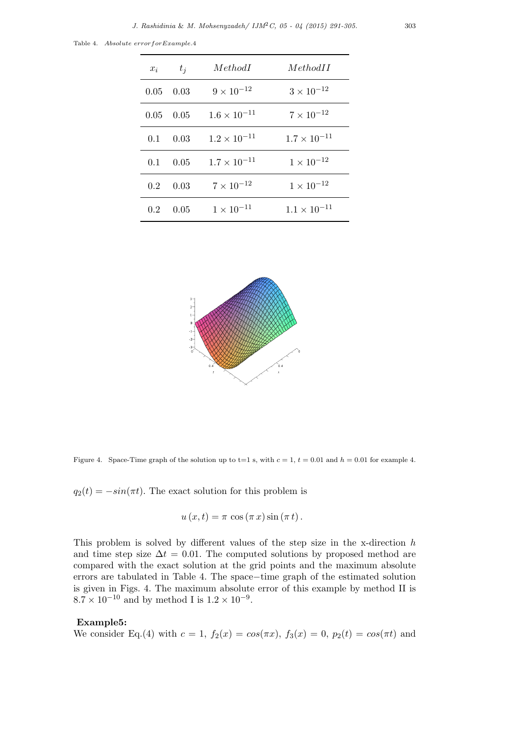Table 4. *Absolute errorforExample.*4

| $x_i$ | $t_i$             | MethodI                        | MethodII              |
|-------|-------------------|--------------------------------|-----------------------|
|       | $0.05 \quad 0.03$ | $9 \times 10^{-12}$            | $3 \times 10^{-12}$   |
|       | $0.05 \quad 0.05$ | $1.6 \times 10^{-11}$          | $7 \times 10^{-12}$   |
|       |                   | 0.1 0.03 $1.2 \times 10^{-11}$ | $1.7 \times 10^{-11}$ |
|       | $0.1 \quad 0.05$  | $1.7 \times 10^{-11}$          | $1 \times 10^{-12}$   |
| 0.2   | 0.03              | $7 \times 10^{-12}$            | $1 \times 10^{-12}$   |
| 0.2   | 0.05              | $1 \times 10^{-11}$            | $1.1 \times 10^{-11}$ |



Figure 4. Space-Time graph of the solution up to t=1 s, with  $c = 1$ ,  $t = 0.01$  and  $h = 0.01$  for example 4.

 $q_2(t) = -\sin(\pi t)$ . The exact solution for this problem is

$$
u(x,t) = \pi \cos(\pi x) \sin(\pi t).
$$

This problem is solved by different values of the step size in the x-direction *h* and time step size  $\Delta t = 0.01$ . The computed solutions by proposed method are compared with the exact solution at the grid points and the maximum absolute errors are tabulated in Table 4. The space*−*time graph of the estimated solution is given in Figs. 4. The maximum absolute error of this example by method II is  $8.7 \times 10^{-10}$  and by method I is  $1.2 \times 10^{-9}$ .

## **Example5:**

We consider Eq.(4) with  $c = 1$ ,  $f_2(x) = cos(\pi x)$ ,  $f_3(x) = 0$ ,  $p_2(t) = cos(\pi t)$  and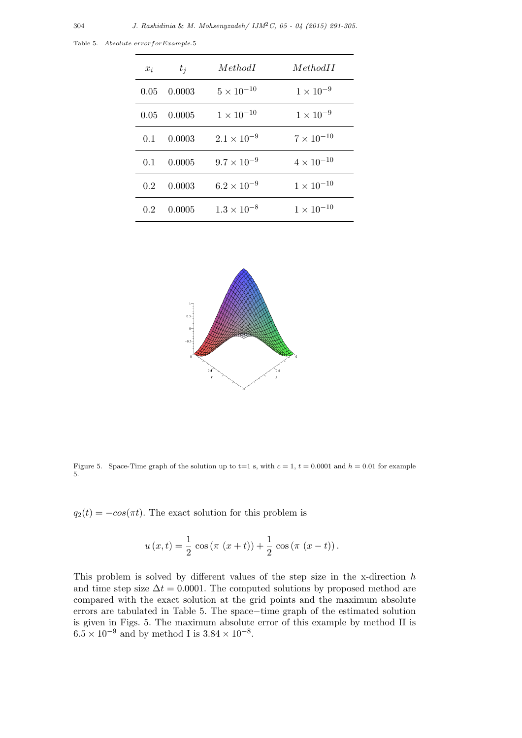| $x_i$ | $t_i$               | MethodI              | MethodII            |
|-------|---------------------|----------------------|---------------------|
|       | $0.05 \quad 0.0003$ | $5 \times 10^{-10}$  | $1 \times 10^{-9}$  |
|       | $0.05 \quad 0.0005$ | $1 \times 10^{-10}$  | $1 \times 10^{-9}$  |
|       | $0.1 \quad 0.0003$  | $2.1 \times 10^{-9}$ | $7 \times 10^{-10}$ |
|       | $0.1 \quad 0.0005$  | $9.7 \times 10^{-9}$ | $4 \times 10^{-10}$ |
| 0.2   | 0.0003              | $6.2 \times 10^{-9}$ | $1 \times 10^{-10}$ |
| 0.2   | 0.0005              | $1.3 \times 10^{-8}$ | $1 \times 10^{-10}$ |

Table 5. *Absolute errorforExample.*5



Figure 5. Space-Time graph of the solution up to t=1 s, with  $c = 1$ ,  $t = 0.0001$  and  $h = 0.01$  for example 5.

 $q_2(t) = -\cos(\pi t)$ . The exact solution for this problem is

$$
u(x,t) = \frac{1}{2} \cos (\pi (x+t)) + \frac{1}{2} \cos (\pi (x-t)).
$$

This problem is solved by different values of the step size in the x-direction *h* and time step size  $\Delta t = 0.0001$ . The computed solutions by proposed method are compared with the exact solution at the grid points and the maximum absolute errors are tabulated in Table 5. The space*−*time graph of the estimated solution is given in Figs. 5. The maximum absolute error of this example by method II is  $6.5 \times 10^{-9}$  and by method I is  $3.84 \times 10^{-8}$ .